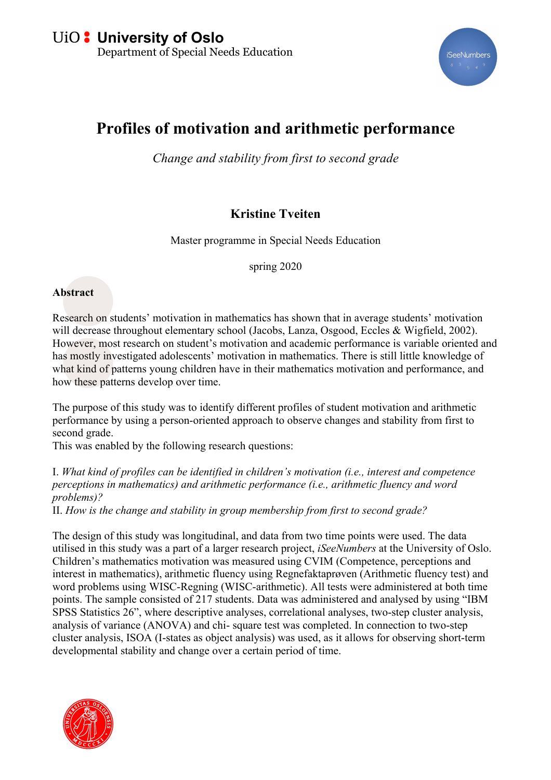

## **Profiles of motivation and arithmetic performance**

*Change and stability from first to second grade*

## **Kristine Tveiten**

Master programme in Special Needs Education

spring 2020

## **Abstract**

Research on students' motivation in mathematics has shown that in average students' motivation will decrease throughout elementary school (Jacobs, Lanza, Osgood, Eccles & Wigfield, 2002). However, most research on student's motivation and academic performance is variable oriented and has mostly investigated adolescents' motivation in mathematics. There is still little knowledge of what kind of patterns young children have in their mathematics motivation and performance, and how these patterns develop over time.

The purpose of this study was to identify different profiles of student motivation and arithmetic performance by using a person-oriented approach to observe changes and stability from first to second grade.

This was enabled by the following research questions:

I. *What kind of profiles can be identified in children's motivation (i.e., interest and competence perceptions in mathematics) and arithmetic performance (i.e., arithmetic fluency and word problems)?*

II. *How is the change and stability in group membership from first to second grade?* 

The design of this study was longitudinal, and data from two time points were used. The data utilised in this study was a part of a larger research project, *iSeeNumbers* at the University of Oslo. Children's mathematics motivation was measured using CVIM (Competence, perceptions and interest in mathematics), arithmetic fluency using Regnefaktaprøven (Arithmetic fluency test) and word problems using WISC-Regning (WISC-arithmetic). All tests were administered at both time points. The sample consisted of 217 students. Data was administered and analysed by using "IBM SPSS Statistics 26", where descriptive analyses, correlational analyses, two-step cluster analysis, analysis of variance (ANOVA) and chi- square test was completed. In connection to two-step cluster analysis, ISOA (I-states as object analysis) was used, as it allows for observing short-term developmental stability and change over a certain period of time.